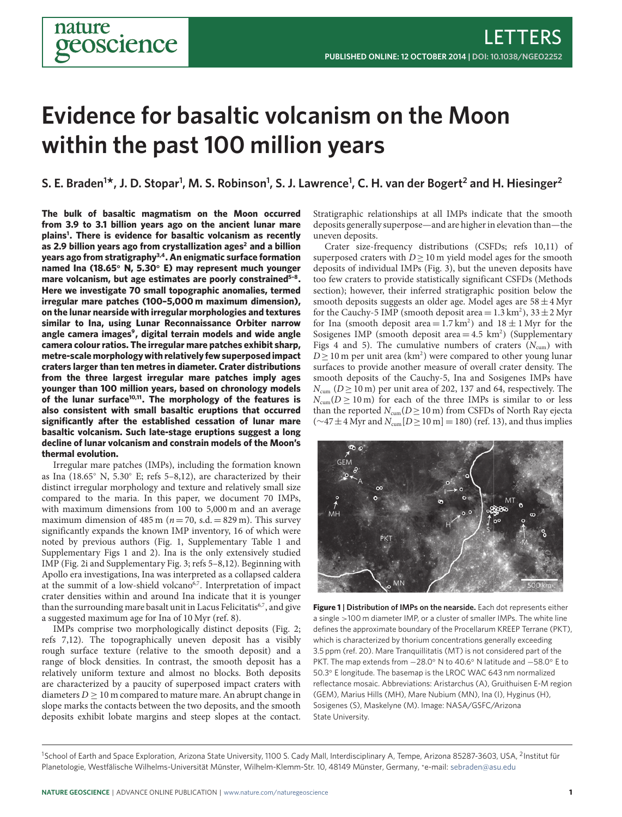# **Evidence for basaltic volcanism on the Moon within the past 100 million years**

## **S. E. Braden1 \*, J. D. Stopar1 , M. S. Robinson1 , S. J. Lawrence1 , C. H. van der Bogert2 and H. Hiesinger2**

**The bulk of basaltic magmatism on the Moon occurred from 3.9 to 3.1 billion years ago on the ancient lunar mare plains[1](#page-3-0) . There is evidence for basaltic volcanism as recently as 2.9 billion years ago from crystallization ages[2](#page-3-1) and a billion years ago from stratigraphy[3](#page-3-2)[,4](#page-3-3) . An enigmatic surface formation named Ina (18.65**◦ **N, 5.30**◦ **E) may represent much younger mare volcanism, but age estimates are poorly constrained[5](#page-3-4)[–8](#page-3-5) . Here we investigate 70 small topographic anomalies, termed irregular mare patches (100–5,000 m maximum dimension), on the lunar nearside with irregular morphologies and textures similar to Ina, using Lunar Reconnaissance Orbiter narrow angle camera images[9](#page-3-6) , digital terrain models and wide angle camera colour ratios. The irregular mare patches exhibit sharp, metre-scale morphology with relatively few superposed impact craters larger than ten metres in diameter. Crater distributions from the three largest irregular mare patches imply ages younger than 100 million years, based on chronology models of the lunar surface[10,](#page-3-7)[11](#page-3-8). The morphology of the features is also consistent with small basaltic eruptions that occurred significantly after the established cessation of lunar mare basaltic volcanism. Such late-stage eruptions suggest a long decline of lunar volcanism and constrain models of the Moon's thermal evolution.**

Irregular mare patches (IMPs), including the formation known as Ina (18.65◦ N, 5.30◦ E; refs [5–](#page-3-4)[8](#page-3-5)[,12\)](#page-3-9), are characterized by their distinct irregular morphology and texture and relatively small size compared to the maria. In this paper, we document 70 IMPs, with maximum dimensions from 100 to 5,000 m and an average maximum dimension of 485 m ( $n=70$ , s.d.  $= 829$  m). This survey significantly expands the known IMP inventory, 16 of which were noted by previous authors (Fig. [1,](#page-0-0) Supplementary Table 1 and Supplementary Figs 1 and 2). Ina is the only extensively studied IMP (Fig. [2i](#page-1-0) and Supplementary Fig. 3; refs [5–](#page-3-4)[8](#page-3-5)[,12\)](#page-3-9). Beginning with Apollo era investigations, Ina was interpreted as a collapsed caldera at the summit of a low-shield volcano<sup>[6](#page-3-10)[,7](#page-3-11)</sup>. Interpretation of impact crater densities within and around Ina indicate that it is younger than the surrounding mare basalt unit in Lacus Felicitatis<sup>[6,](#page-3-10)[7](#page-3-11)</sup>, and give a suggested maximum age for Ina of 10 Myr (ref. [8\)](#page-3-5).

IMPs comprise two morphologically distinct deposits (Fig. [2;](#page-1-0) refs [7,](#page-3-11)[12\)](#page-3-9). The topographically uneven deposit has a visibly rough surface texture (relative to the smooth deposit) and a range of block densities. In contrast, the smooth deposit has a relatively uniform texture and almost no blocks. Both deposits are characterized by a paucity of superposed impact craters with diameters  $D \ge 10$  m compared to mature mare. An abrupt change in slope marks the contacts between the two deposits, and the smooth deposits exhibit lobate margins and steep slopes at the contact. Stratigraphic relationships at all IMPs indicate that the smooth deposits generally superpose—and are higher in elevation than—the uneven deposits.

Crater size-frequency distributions (CSFDs; refs [10](#page-3-7)[,11\)](#page-3-8) of superposed craters with  $D>10$  m yield model ages for the smooth deposits of individual IMPs (Fig. [3\)](#page-2-0), but the uneven deposits have too few craters to provide statistically significant CSFDs (Methods section); however, their inferred stratigraphic position below the smooth deposits suggests an older age. Model ages are  $58 \pm 4$  Myr for the Cauchy-5 IMP (smooth deposit area =  $1.3 \text{ km}^2$ ),  $33 \pm 2 \text{ Myr}$ for Ina (smooth deposit area =  $1.7 \text{ km}^2$ ) and  $18 \pm 1 \text{ Myr}$  for the Sosigenes IMP (smooth deposit area  $=$  4.5 km<sup>2</sup>) (Supplementary Figs 4 and 5). The cumulative numbers of craters  $(N_{\text{cum}})$  with  $D \ge 10$  m per unit area (km<sup>2</sup>) were compared to other young lunar surfaces to provide another measure of overall crater density. The smooth deposits of the Cauchy-5, Ina and Sosigenes IMPs have  $N_{\text{cum}}$  (D > 10 m) per unit area of 202, 137 and 64, respectively. The  $N_{\text{cum}}(D > 10 \text{ m})$  for each of the three IMPs is similar to or less than the reported  $N_{\text{cum}}(D \geq 10 \text{ m})$  from CSFDs of North Ray ejecta  $(\sim 47 \pm 4$  Myr and  $N_{\text{cum}}[D \ge 10 \text{ m}] = 180)$  (ref. [13\)](#page-3-12), and thus implies



<span id="page-0-0"></span>**Figure 1 | Distribution of IMPs on the nearside.** Each dot represents either a single >100 m diameter IMP, or a cluster of smaller IMPs. The white line defines the approximate boundary of the Procellarum KREEP Terrane (PKT), which is characterized by thorium concentrations generally exceeding 3.5 ppm (ref. [20\)](#page-3-13). Mare Tranquillitatis (MT) is not considered part of the PKT. The map extends from −28.0° N to 40.6° N latitude and −58.0° E to 50.3◦ E longitude. The basemap is the LROC WAC 643 nm normalized reflectance mosaic. Abbreviations: Aristarchus (A), Gruithuisen E-M region (GEM), Marius Hills (MH), Mare Nubium (MN), Ina (I), Hyginus (H), Sosigenes (S), Maskelyne (M). Image: NASA/GSFC/Arizona State University.

<sup>&</sup>lt;sup>1</sup>School of Earth and Space Exploration, Arizona State University, 1100 S. Cady Mall, Interdisciplinary A, Tempe, Arizona 85287-3603, USA, <sup>2</sup>Institut für Planetologie, Westfälische Wilhelms-Universität Münster, Wilhelm-Klemm-Str. 10, 48149 Münster, Germany, \*e-mail: [sebraden@asu.edu](mailto:sebraden@asu.edu)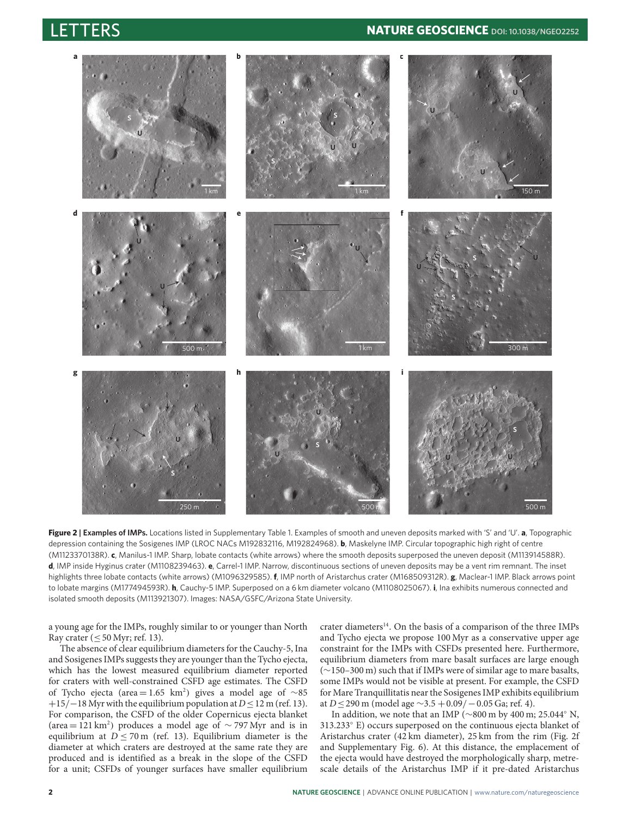

<span id="page-1-0"></span>**Figure 2 | Examples of IMPs.** Locations listed in Supplementary Table 1. Examples of smooth and uneven deposits marked with 'S' and 'U'. **a**, Topographic depression containing the Sosigenes IMP (LROC NACs M192832116, M192824968). **b**, Maskelyne IMP. Circular topographic high right of centre (M1123370138R). **c**, Manilus-1 IMP. Sharp, lobate contacts (white arrows) where the smooth deposits superposed the uneven deposit (M113914588R). **d**, IMP inside Hyginus crater (M1108239463). **e**, Carrel-1 IMP. Narrow, discontinuous sections of uneven deposits may be a vent rim remnant. The inset highlights three lobate contacts (white arrows) (M1096329585). **f**, IMP north of Aristarchus crater (M168509312R). **g**, Maclear-1 IMP. Black arrows point to lobate margins (M177494593R). **h**, Cauchy-5 IMP. Superposed on a 6 km diameter volcano (M1108025067). **i**, Ina exhibits numerous connected and isolated smooth deposits (M113921307). Images: NASA/GSFC/Arizona State University.

a young age for the IMPs, roughly similar to or younger than North Ray crater  $( $50 \text{ Myr}$ ; ref. 13).$  $( $50 \text{ Myr}$ ; ref. 13).$  $( $50 \text{ Myr}$ ; ref. 13).$ 

The absence of clear equilibrium diameters for the Cauchy-5, Ina and Sosigenes IMPs suggests they are younger than the Tycho ejecta, which has the lowest measured equilibrium diameter reported for craters with well-constrained CSFD age estimates. The CSFD of Tycho ejecta (area = 1.65 km<sup>2</sup>) gives a model age of ~85  $+15$ / $-18$  Myr with the equilibrium population at  $D \le 12$  m (ref. [13\)](#page-3-12). For comparison, the CSFD of the older Copernicus ejecta blanket (area = 121 km<sup>2</sup> ) produces a model age of ∼ 797 Myr and is in equilibrium at  $D \le 70$  m (ref. [13\)](#page-3-12). Equilibrium diameter is the diameter at which craters are destroyed at the same rate they are produced and is identified as a break in the slope of the CSFD for a unit; CSFDs of younger surfaces have smaller equilibrium crater diameters<sup>[14](#page-3-14)</sup>. On the basis of a comparison of the three IMPs and Tycho ejecta we propose 100 Myr as a conservative upper age constraint for the IMPs with CSFDs presented here. Furthermore, equilibrium diameters from mare basalt surfaces are large enough (∼150–300 m) such that if IMPs were of similar age to mare basalts, some IMPs would not be visible at present. For example, the CSFD for Mare Tranquillitatis near the Sosigenes IMP exhibits equilibrium at  $D \le 290$  m (model age  $\sim$ 3.5 +0.09/ −0.05 Ga; ref. [4\)](#page-3-3).

In addition, we note that an IMP (∼800 m by 400 m; 25.044◦ N, 313.233◦ E) occurs superposed on the continuous ejecta blanket of Aristarchus crater (42 km diameter), 25 km from the rim (Fig. [2f](#page-1-0) and Supplementary Fig. 6). At this distance, the emplacement of the ejecta would have destroyed the morphologically sharp, metrescale details of the Aristarchus IMP if it pre-dated Aristarchus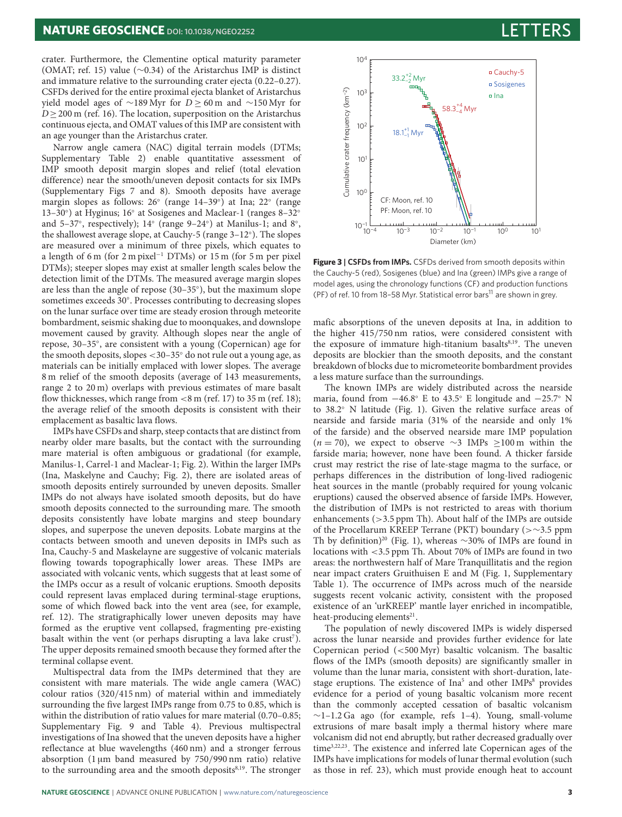crater. Furthermore, the Clementine optical maturity parameter (OMAT; ref. [15\)](#page-3-15) value (∼0.34) of the Aristarchus IMP is distinct and immature relative to the surrounding crater ejecta (0.22–0.27). CSFDs derived for the entire proximal ejecta blanket of Aristarchus yield model ages of ∼189 Myr for  $D > 60$  m and ∼150 Myr for D > 200 m (ref. [16\)](#page-3-16). The location, superposition on the Aristarchus continuous ejecta, and OMAT values of this IMP are consistent with an age younger than the Aristarchus crater.

Narrow angle camera (NAC) digital terrain models (DTMs; Supplementary Table 2) enable quantitative assessment of IMP smooth deposit margin slopes and relief (total elevation difference) near the smooth/uneven deposit contacts for six IMPs (Supplementary Figs 7 and 8). Smooth deposits have average margin slopes as follows: 26◦ (range 14–39◦ ) at Ina; 22◦ (range 13-30°) at Hyginus; 16° at Sosigenes and Maclear-1 (ranges 8-32° and 5–37◦ , respectively); 14◦ (range 9–24◦ ) at Manilus-1; and 8◦ , the shallowest average slope, at Cauchy-5 (range 3-12°). The slopes are measured over a minimum of three pixels, which equates to a length of 6 m (for 2 m pixel<sup>-1</sup> DTMs) or 15 m (for 5 m per pixel DTMs); steeper slopes may exist at smaller length scales below the detection limit of the DTMs. The measured average margin slopes are less than the angle of repose (30–35◦ ), but the maximum slope sometimes exceeds 30°. Processes contributing to decreasing slopes on the lunar surface over time are steady erosion through meteorite bombardment, seismic shaking due to moonquakes, and downslope movement caused by gravity. Although slopes near the angle of repose, 30–35◦ , are consistent with a young (Copernican) age for the smooth deposits, slopes <30–35◦ do not rule out a young age, as materials can be initially emplaced with lower slopes. The average 8 m relief of the smooth deposits (average of 143 measurements, range 2 to 20 m) overlaps with previous estimates of mare basalt flow thicknesses, which range from  $\langle 8 \text{ m (ref. 17) to 35 m (ref. 18)} \rangle$  $\langle 8 \text{ m (ref. 17) to 35 m (ref. 18)} \rangle$  $\langle 8 \text{ m (ref. 17) to 35 m (ref. 18)} \rangle$  $\langle 8 \text{ m (ref. 17) to 35 m (ref. 18)} \rangle$  $\langle 8 \text{ m (ref. 17) to 35 m (ref. 18)} \rangle$ ; the average relief of the smooth deposits is consistent with their emplacement as basaltic lava flows.

IMPs have CSFDs and sharp, steep contacts that are distinct from nearby older mare basalts, but the contact with the surrounding mare material is often ambiguous or gradational (for example, Manilus-1, Carrel-1 and Maclear-1; Fig. [2\)](#page-1-0). Within the larger IMPs (Ina, Maskelyne and Cauchy; Fig. [2\)](#page-1-0), there are isolated areas of smooth deposits entirely surrounded by uneven deposits. Smaller IMPs do not always have isolated smooth deposits, but do have smooth deposits connected to the surrounding mare. The smooth deposits consistently have lobate margins and steep boundary slopes, and superpose the uneven deposits. Lobate margins at the contacts between smooth and uneven deposits in IMPs such as Ina, Cauchy-5 and Maskelayne are suggestive of volcanic materials flowing towards topographically lower areas. These IMPs are associated with volcanic vents, which suggests that at least some of the IMPs occur as a result of volcanic eruptions. Smooth deposits could represent lavas emplaced during terminal-stage eruptions, some of which flowed back into the vent area (see, for example, ref. [12\)](#page-3-9). The stratigraphically lower uneven deposits may have formed as the eruptive vent collapsed, fragmenting pre-existing basalt within the vent (or perhaps disrupting a lava lake  $crust^7$  $crust^7$ ). The upper deposits remained smooth because they formed after the terminal collapse event.

Multispectral data from the IMPs determined that they are consistent with mare materials. The wide angle camera (WAC) colour ratios (320/415 nm) of material within and immediately surrounding the five largest IMPs range from 0.75 to 0.85, which is within the distribution of ratio values for mare material (0.70–0.85; Supplementary Fig. 9 and Table 4). Previous multispectral investigations of Ina showed that the uneven deposits have a higher reflectance at blue wavelengths (460 nm) and a stronger ferrous absorption (1 µm band measured by 750/990 nm ratio) relative to the surrounding area and the smooth deposits<sup>[8,](#page-3-5)[19](#page-3-19)</sup>. The stronger



<span id="page-2-0"></span>**Figure 3 | CSFDs from IMPs.** CSFDs derived from smooth deposits within the Cauchy-5 (red), Sosigenes (blue) and Ina (green) IMPs give a range of model ages, using the chronology functions (CF) and production functions (PF) of ref. [10](#page-3-7) from 18-58 Myr. Statistical error bars<sup>[11](#page-3-8)</sup> are shown in grey.

mafic absorptions of the uneven deposits at Ina, in addition to the higher 415/750 nm ratios, were considered consistent with the exposure of immature high-titanium basalts<sup>[8](#page-3-5)[,19](#page-3-19)</sup>. The uneven deposits are blockier than the smooth deposits, and the constant breakdown of blocks due to micrometeorite bombardment provides a less mature surface than the surroundings.

The known IMPs are widely distributed across the nearside maria, found from  $-46.8°$  E to  $43.5°$  E longitude and  $-25.7°$  N to 38.2◦ N latitude (Fig. [1\)](#page-0-0). Given the relative surface areas of nearside and farside maria (31% of the nearside and only 1% of the farside) and the observed nearside mare IMP population  $(n = 70)$ , we expect to observe ∼3 IMPs ≥100 m within the farside maria; however, none have been found. A thicker farside crust may restrict the rise of late-stage magma to the surface, or perhaps differences in the distribution of long-lived radiogenic heat sources in the mantle (probably required for young volcanic eruptions) caused the observed absence of farside IMPs. However, the distribution of IMPs is not restricted to areas with thorium enhancements (>3.5 ppm Th). About half of the IMPs are outside of the Procellarum KREEP Terrane (PKT) boundary (>∼3.5 ppm Th by definition)<sup>[20](#page-3-13)</sup> (Fig. [1\)](#page-0-0), whereas ∼30% of IMPs are found in locations with <3.5 ppm Th. About 70% of IMPs are found in two areas: the northwestern half of Mare Tranquillitatis and the region near impact craters Gruithuisen E and M (Fig. [1,](#page-0-0) Supplementary Table 1). The occurrence of IMPs across much of the nearside suggests recent volcanic activity, consistent with the proposed existence of an 'urKREEP' mantle layer enriched in incompatible, heat-producing elements<sup>[21](#page-3-20)</sup>.

The population of newly discovered IMPs is widely dispersed across the lunar nearside and provides further evidence for late Copernican period (<500 Myr) basaltic volcanism. The basaltic flows of the IMPs (smooth deposits) are significantly smaller in volume than the lunar maria, consistent with short-duration, late-stage eruptions. The existence of Ina<sup>[5](#page-3-4)</sup> and other IMPs<sup>[8](#page-3-5)</sup> provides evidence for a period of young basaltic volcanism more recent than the commonly accepted cessation of basaltic volcanism ∼1–1.2 Ga ago (for example, refs [1–](#page-3-0)[4\)](#page-3-3). Young, small-volume extrusions of mare basalt imply a thermal history where mare volcanism did not end abruptly, but rather decreased gradually over time[3](#page-3-2)[,22](#page-3-21)[,23](#page-3-22). The existence and inferred late Copernican ages of the IMPs have implications for models of lunar thermal evolution (such as those in ref. [23\)](#page-3-22), which must provide enough heat to account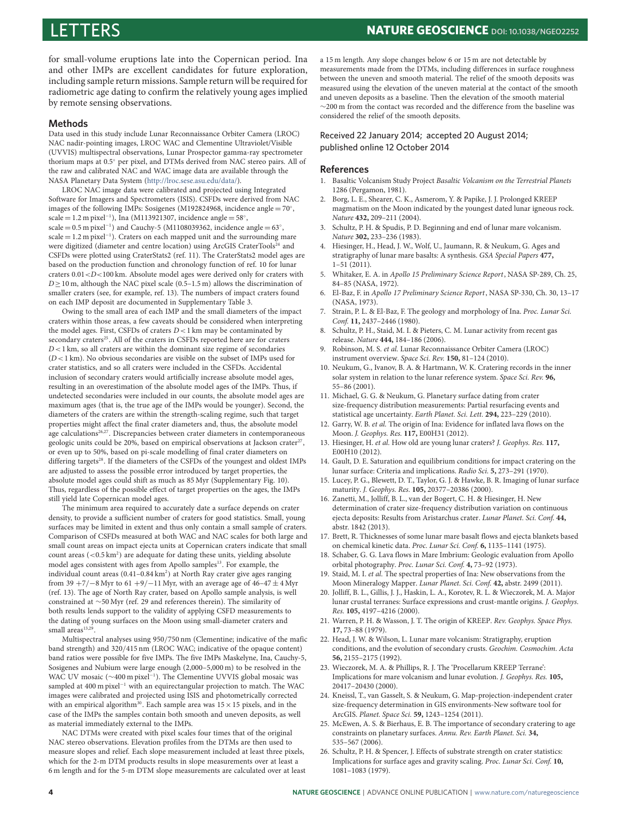for small-volume eruptions late into the Copernican period. Ina and other IMPs are excellent candidates for future exploration, including sample return missions. Sample return will be required for radiometric age dating to confirm the relatively young ages implied by remote sensing observations.

#### **Methods**

Data used in this study include Lunar Reconnaissance Orbiter Camera (LROC) NAC nadir-pointing images, LROC WAC and Clementine Ultraviolet/Visible (UVVIS) multispectral observations, Lunar Prospector gamma-ray spectrometer thorium maps at 0.5◦ per pixel, and DTMs derived from NAC stereo pairs. All of the raw and calibrated NAC and WAC image data are available through the NASA Planetary Data System [\(http://lroc.sese.asu.edu/data/\)](http://lroc.sese.asu.edu/data/).

LROC NAC image data were calibrated and projected using Integrated Software for Imagers and Spectrometers (ISIS). CSFDs were derived from NAC images of the following IMPs: Sosigenes (M192824968, incidence angle = 70°, scale = 1.2 m pixel<sup>-1</sup>), Ina (M113921307, incidence angle = 58°,<br>scale = 0.5 m pixel<sup>-1</sup>) and Cauchy-5 (M1108039362, incidence angle = 63°, scale = 1.2 m pixel<sup>−</sup><sup>1</sup> ). Craters on each mapped unit and the surrounding mare were digitized (diameter and centre location) using ArcGIS CraterTools<sup>[24](#page-3-23)</sup> and CSFDs were plotted using CraterStats2 (ref. [11\)](#page-3-8). The CraterStats2 model ages are based on the production function and chronology function of ref. [10](#page-3-7) for lunar craters  $0.01 < D < 100$  km. Absolute model ages were derived only for craters with  $D \ge 10$  m, although the NAC pixel scale (0.5–1.5 m) allows the discrimination of smaller craters (see, for example, ref. [13\)](#page-3-12). The numbers of impact craters found on each IMP deposit are documented in Supplementary Table 3.

Owing to the small area of each IMP and the small diameters of the impact craters within those areas, a few caveats should be considered when interpreting the model ages. First, CSFDs of craters  $D < 1$  km may be contaminated by secondary craters<sup>[25](#page-3-24)</sup>. All of the craters in CSFDs reported here are for craters  $D < 1$  km, so all craters are within the dominant size regime of secondaries  $(D<1 \text{ km})$ . No obvious secondaries are visible on the subset of IMPs used for crater statistics, and so all craters were included in the CSFDs. Accidental inclusion of secondary craters would artificially increase absolute model ages, resulting in an overestimation of the absolute model ages of the IMPs. Thus, if undetected secondaries were included in our counts, the absolute model ages are maximum ages (that is, the true age of the IMPs would be younger). Second, the diameters of the craters are within the strength-scaling regime, such that target properties might affect the final crater diameters and, thus, the absolute model age calculations<sup>[26](#page-3-25)[,27](#page-4-0)</sup>. Discrepancies between crater diameters in contemporaneous geologic units could be 20%, based on empirical observations at Jackson crater<sup>[27](#page-4-0)</sup>, or even up to 50%, based on pi-scale modelling of final crater diameters on differing targets<sup>[28](#page-4-1)</sup>. If the diameters of the CSFDs of the youngest and oldest IMPs are adjusted to assess the possible error introduced by target properties, the absolute model ages could shift as much as 85 Myr (Supplementary Fig. 10). Thus, regardless of the possible effect of target properties on the ages, the IMPs still yield late Copernican model ages.

The minimum area required to accurately date a surface depends on crater density, to provide a sufficient number of craters for good statistics. Small, young surfaces may be limited in extent and thus only contain a small sample of craters. Comparison of CSFDs measured at both WAC and NAC scales for both large and small count areas on impact ejecta units at Copernican craters indicate that small count areas  $\left(<0.5\,\mathrm{km^2}\right)$  are adequate for dating these units, yielding absolute model ages consistent with ages from Apollo samples<sup>[13](#page-3-12)</sup>. For example, the individual count areas (0.41-0.84 km<sup>2</sup>) at North Ray crater give ages ranging from 39 +7/−8 Myr to 61 +9/−11 Myr, with an average age of  $46-47 \pm 4$  Myr (ref. [13\)](#page-3-12). The age of North Ray crater, based on Apollo sample analysis, is well constrained at ∼50 Myr (ref. [29](#page-4-2) and references therein). The similarity of both results lends support to the validity of applying CSFD measurements to the dating of young surfaces on the Moon using small-diameter craters and small areas<sup>[13](#page-3-12)[,29](#page-4-2)</sup>.

Multispectral analyses using 950/750 nm (Clementine; indicative of the mafic band strength) and 320/415 nm (LROC WAC; indicative of the opaque content) band ratios were possible for five IMPs. The five IMPs Maskelyne, Ina, Cauchy-5, Sosigenes and Nubium were large enough (2,000–5,000 m) to be resolved in the WAC UV mosaic (∼400 m pixel<sup>−</sup><sup>1</sup> ). The Clementine UVVIS global mosaic was sampled at 400 m pixel<sup>-1</sup> with an equirectangular projection to match. The WAC images were calibrated and projected using ISIS and photometrically corrected with an empirical algorithm<sup>[30](#page-4-3)</sup>. Each sample area was  $15 \times 15$  pixels, and in the case of the IMPs the samples contain both smooth and uneven deposits, as well as material immediately external to the IMPs.

NAC DTMs were created with pixel scales four times that of the original NAC stereo observations. Elevation profiles from the DTMs are then used to measure slopes and relief. Each slope measurement included at least three pixels, which for the 2-m DTM products results in slope measurements over at least a 6 m length and for the 5-m DTM slope measurements are calculated over at least a 15 m length. Any slope changes below 6 or 15 m are not detectable by measurements made from the DTMs, including differences in surface roughness between the uneven and smooth material. The relief of the smooth deposits was measured using the elevation of the uneven material at the contact of the smooth and uneven deposits as a baseline. Then the elevation of the smooth material ∼200 m from the contact was recorded and the difference from the baseline was considered the relief of the smooth deposits.

Received 22 January 2014; accepted 20 August 2014; published online 12 October 2014

#### **References**

- <span id="page-3-0"></span>1. Basaltic Volcanism Study Project Basaltic Volcanism on the Terrestrial Planets 1286 (Pergamon, 1981).
- <span id="page-3-1"></span>2. Borg, L. E., Shearer, C. K., Asmerom, Y. & Papike, J. J. Prolonged KREEP magmatism on the Moon indicated by the youngest dated lunar igneous rock. Nature **432,** 209–211 (2004).
- <span id="page-3-2"></span>3. Schultz, P. H. & Spudis, P. D. Beginning and end of lunar mare volcanism. Nature **302,** 233–236 (1983).
- <span id="page-3-3"></span>4. Hiesinger, H., Head, J. W., Wolf, U., Jaumann, R. & Neukum, G. Ages and stratigraphy of lunar mare basalts: A synthesis. GSA Special Papers **477,**  $1-51(2011)$
- <span id="page-3-4"></span>5. Whitaker, E. A. in Apollo 15 Preliminary Science Report, NASA SP-289, Ch. 25, 84–85 (NASA, 1972).
- <span id="page-3-10"></span>6. El-Baz, F. in Apollo 17 Preliminary Science Report, NASA SP-330, Ch. 30, 13–17 (NASA, 1973).
- <span id="page-3-11"></span>7. Strain, P. L. & El-Baz, F. The geology and morphology of Ina. Proc. Lunar Sci. Conf. **11,** 2437–2446 (1980).
- <span id="page-3-5"></span>8. Schultz, P. H., Staid, M. I. & Pieters, C. M. Lunar activity from recent gas release. Nature **444,** 184–186 (2006).
- <span id="page-3-6"></span>9. Robinson, M. S. et al. Lunar Reconnaissance Orbiter Camera (LROC) instrument overview. Space Sci. Rev. **150,** 81–124 (2010).
- <span id="page-3-7"></span>10. Neukum, G., Ivanov, B. A. & Hartmann, W. K. Cratering records in the inner solar system in relation to the lunar reference system. Space Sci. Rev. **96,** 55–86 (2001).
- <span id="page-3-8"></span>11. Michael, G. G. & Neukum, G. Planetary surface dating from crater size-frequency distribution measurements: Partial resurfacing events and statistical age uncertainty. Earth Planet. Sci. Lett. **294,** 223–229 (2010).
- <span id="page-3-9"></span>12. Garry, W. B. et al. The origin of Ina: Evidence for inflated lava flows on the Moon. J. Geophys. Res. **117,** E00H31 (2012).
- <span id="page-3-12"></span>13. Hiesinger, H. et al. How old are young lunar craters? J. Geophys. Res. **117,** E00H10 (2012).
- <span id="page-3-14"></span>14. Gault, D. E. Saturation and equilibrium conditions for impact cratering on the lunar surface: Criteria and implications. Radio Sci. **5,** 273–291 (1970).
- <span id="page-3-15"></span>15. Lucey, P. G., Blewett, D. T., Taylor, G. J. & Hawke, B. R. Imaging of lunar surface maturity. J. Geophys. Res. **105,** 20377–20386 (2000).
- <span id="page-3-16"></span>16. Zanetti, M., Jolliff, B. L., van der Bogert, C. H. & Hiesinger, H. New determination of crater size-frequency distribution variation on continuous ejecta deposits: Results from Aristarchus crater. Lunar Planet. Sci. Conf. **44,** abstr. 1842 (2013).
- <span id="page-3-17"></span>17. Brett, R. Thicknesses of some lunar mare basalt flows and ejecta blankets based on chemical kinetic data. Proc. Lunar Sci. Conf. **6,** 1135–1141 (1975).
- <span id="page-3-18"></span>18. Schaber, G. G. Lava flows in Mare Imbrium: Geologic evaluation from Apollo orbital photography. Proc. Lunar Sci. Conf. **4,** 73–92 (1973).
- <span id="page-3-19"></span>19. Staid, M. I. et al. The spectral properties of Ina: New observations from the Moon Mineralogy Mapper. Lunar Planet. Sci. Conf. **42,** abstr. 2499 (2011).
- <span id="page-3-13"></span>20. Jolliff, B. L., Gillis, J. J., Haskin, L. A., Korotev, R. L. & Wieczorek, M. A. Major lunar crustal terranes: Surface expressions and crust-mantle origins. J. Geophys. Res. **105,** 4197–4216 (2000).
- <span id="page-3-20"></span>21. Warren, P. H. & Wasson, J. T. The origin of KREEP. Rev. Geophys. Space Phys. **17,** 73–88 (1979).
- <span id="page-3-21"></span>22. Head, J. W. & Wilson, L. Lunar mare volcanism: Stratigraphy, eruption conditions, and the evolution of secondary crusts. Geochim. Cosmochim. Acta **56,** 2155–2175 (1992).
- <span id="page-3-22"></span>23. Wieczorek, M. A. & Phillips, R. J. The 'Procellarum KREEP Terrane': Implications for mare volcanism and lunar evolution. J. Geophys. Res. **105,** 20417–20430 (2000).
- <span id="page-3-23"></span>24. Kneissl, T., van Gasselt, S. & Neukum, G. Map-projection-independent crater size-frequency determination in GIS environments-New software tool for ArcGIS. Planet. Space Sci. **59,** 1243–1254 (2011).
- <span id="page-3-24"></span>25. McEwen, A. S. & Bierhaus, E. B. The importance of secondary cratering to age constraints on planetary surfaces. Annu. Rev. Earth Planet. Sci. **34,** 535–567 (2006).
- <span id="page-3-25"></span>26. Schultz, P. H. & Spencer, J. Effects of substrate strength on crater statistics: Implications for surface ages and gravity scaling. Proc. Lunar Sci. Conf. **10,** 1081–1083 (1979).